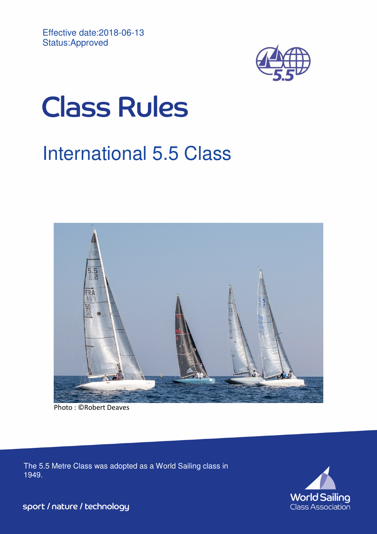

# **Class Rules**

# International 5.5 Class



Photo : ©Robert Deaves

The 5.5 Metre Class was adopted as a World Sailing class in 1949.



sport / nature / technology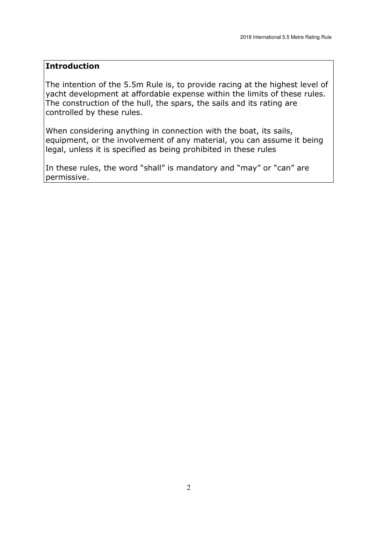# **Introduction**

The intention of the 5.5m Rule is, to provide racing at the highest level of yacht development at affordable expense within the limits of these rules. The construction of the hull, the spars, the sails and its rating are controlled by these rules.

When considering anything in connection with the boat, its sails, equipment, or the involvement of any material, you can assume it being legal, unless it is specified as being prohibited in these rules

In these rules, the word "shall" is mandatory and "may" or "can" are permissive.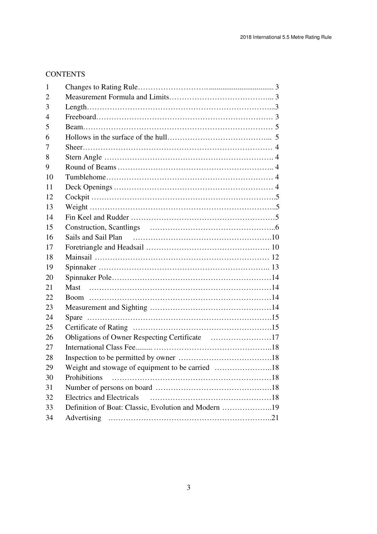# **CONTENTS**

| 1              |                                                      |  |  |
|----------------|------------------------------------------------------|--|--|
| $\overline{2}$ |                                                      |  |  |
| 3              |                                                      |  |  |
| 4              |                                                      |  |  |
| 5              |                                                      |  |  |
| 6              |                                                      |  |  |
| 7              |                                                      |  |  |
| 8              |                                                      |  |  |
| 9              |                                                      |  |  |
| 10             |                                                      |  |  |
| 11             |                                                      |  |  |
| 12             |                                                      |  |  |
| 13             |                                                      |  |  |
| 14             |                                                      |  |  |
| 15             |                                                      |  |  |
| 16             |                                                      |  |  |
| 17             |                                                      |  |  |
| 18             |                                                      |  |  |
| 19             |                                                      |  |  |
| 20             |                                                      |  |  |
| 21             |                                                      |  |  |
| 22             |                                                      |  |  |
| 23             |                                                      |  |  |
| 24             |                                                      |  |  |
| 25             |                                                      |  |  |
| 26             | Obligations of Owner Respecting Certificate 17       |  |  |
| 27             |                                                      |  |  |
| 28             |                                                      |  |  |
| 29             | Weight and stowage of equipment to be carried 18     |  |  |
| 30             | Prohibitions                                         |  |  |
| 31             |                                                      |  |  |
| 32             | <b>Electrics and Electricals</b>                     |  |  |
| 33             | Definition of Boat: Classic, Evolution and Modern 19 |  |  |
| 34             |                                                      |  |  |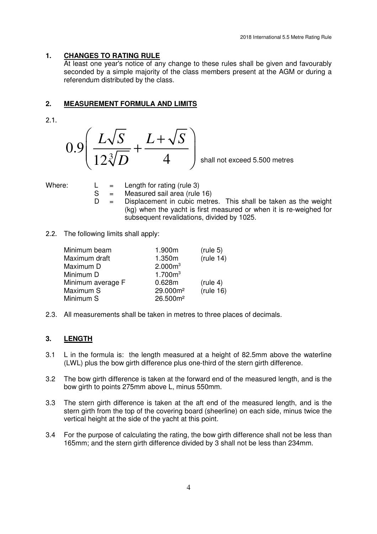# **1. CHANGES TO RATING RULE**

 At least one year's notice of any change to these rules shall be given and favourably seconded by a simple majority of the class members present at the AGM or during a referendum distributed by the class.

# **2. MEASUREMENT FORMULA AND LIMITS**

2.1.



- Where:  $L = Length for rating (rule 3)$ <br> $S = Measured said area (rule$ 
	- $=$  Measured sail area (rule 16)
	- $D =$  Displacement in cubic metres. This shall be taken as the weight (kg) when the yacht is first measured or when it is re-weighed for subsequent revalidations, divided by 1025.
- 2.2. The following limits shall apply:

| (rule 14) |
|-----------|
|           |
|           |
|           |
|           |
| (rule 16) |
|           |
|           |

2.3. All measurements shall be taken in metres to three places of decimals.

# **3. LENGTH**

- 3.1 L in the formula is: the length measured at a height of 82.5mm above the waterline (LWL) plus the bow girth difference plus one-third of the stern girth difference.
- 3.2 The bow girth difference is taken at the forward end of the measured length, and is the bow girth to points 275mm above L, minus 550mm.
- 3.3 The stern girth difference is taken at the aft end of the measured length, and is the stern girth from the top of the covering board (sheerline) on each side, minus twice the vertical height at the side of the yacht at this point.
- 3.4 For the purpose of calculating the rating, the bow girth difference shall not be less than 165mm; and the stern girth difference divided by 3 shall not be less than 234mm.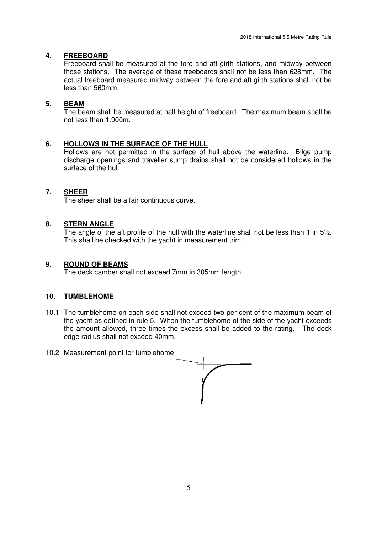# **4. FREEBOARD**

 Freeboard shall be measured at the fore and aft girth stations, and midway between those stations. The average of these freeboards shall not be less than 628mm. The actual freeboard measured midway between the fore and aft girth stations shall not be less than 560mm.

# **5. BEAM**

 The beam shall be measured at half height of freeboard. The maximum beam shall be not less than 1.900m.

# **6. HOLLOWS IN THE SURFACE OF THE HULL**

 Hollows are not permitted in the surface of hull above the waterline. Bilge pump discharge openings and traveller sump drains shall not be considered hollows in the surface of the hull.

# **7. SHEER**

The sheer shall be a fair continuous curve.

# **8. STERN ANGLE**

 The angle of the aft profile of the hull with the waterline shall not be less than 1 in 5½. This shall be checked with the yacht in measurement trim.

# **9. ROUND OF BEAMS**

The deck camber shall not exceed 7mm in 305mm length.

#### **10. TUMBLEHOME**

10.1 The tumblehome on each side shall not exceed two per cent of the maximum beam of the yacht as defined in rule 5. When the tumblehome of the side of the yacht exceeds the amount allowed, three times the excess shall be added to the rating. The deck edge radius shall not exceed 40mm.



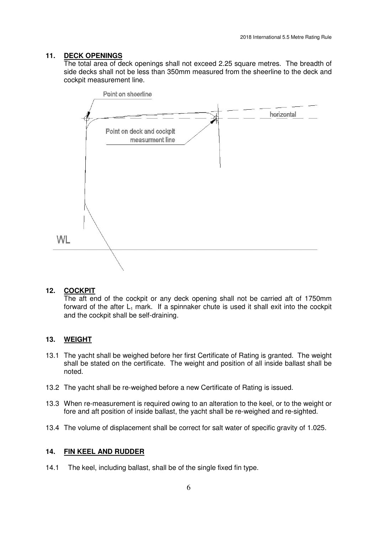# **11. DECK OPENINGS**

 The total area of deck openings shall not exceed 2.25 square metres. The breadth of side decks shall not be less than 350mm measured from the sheerline to the deck and cockpit measurement line.



#### **12. COCKPIT**

 The aft end of the cockpit or any deck opening shall not be carried aft of 1750mm forward of the after  $L_1$  mark. If a spinnaker chute is used it shall exit into the cockpit and the cockpit shall be self-draining.

# **13. WEIGHT**

- 13.1 The yacht shall be weighed before her first Certificate of Rating is granted. The weight shall be stated on the certificate. The weight and position of all inside ballast shall be noted.
- 13.2 The yacht shall be re-weighed before a new Certificate of Rating is issued.
- 13.3 When re-measurement is required owing to an alteration to the keel, or to the weight or fore and aft position of inside ballast, the yacht shall be re-weighed and re-sighted.
- 13.4 The volume of displacement shall be correct for salt water of specific gravity of 1.025.

#### **14. FIN KEEL AND RUDDER**

14.1 The keel, including ballast, shall be of the single fixed fin type.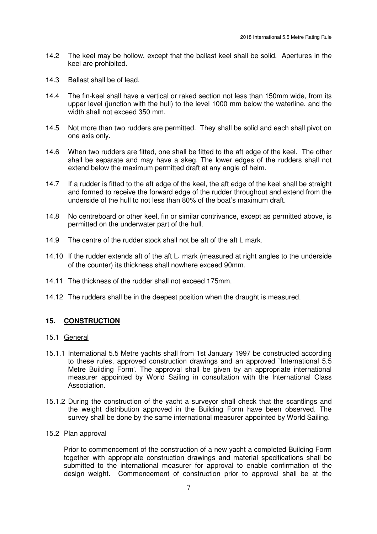- 14.2 The keel may be hollow, except that the ballast keel shall be solid. Apertures in the keel are prohibited.
- 14.3 Ballast shall be of lead.
- 14.4 The fin-keel shall have a vertical or raked section not less than 150mm wide, from its upper level (junction with the hull) to the level 1000 mm below the waterline, and the width shall not exceed 350 mm.
- 14.5 Not more than two rudders are permitted. They shall be solid and each shall pivot on one axis only.
- 14.6 When two rudders are fitted, one shall be fitted to the aft edge of the keel. The other shall be separate and may have a skeg. The lower edges of the rudders shall not extend below the maximum permitted draft at any angle of helm.
- 14.7 If a rudder is fitted to the aft edge of the keel, the aft edge of the keel shall be straight and formed to receive the forward edge of the rudder throughout and extend from the underside of the hull to not less than 80% of the boat's maximum draft.
- 14.8 No centreboard or other keel, fin or similar contrivance, except as permitted above, is permitted on the underwater part of the hull.
- 14.9 The centre of the rudder stock shall not be aft of the aft L mark.
- 14.10 If the rudder extends aft of the aft  $L_1$  mark (measured at right angles to the underside of the counter) its thickness shall nowhere exceed 90mm.
- 14.11 The thickness of the rudder shall not exceed 175mm.
- 14.12 The rudders shall be in the deepest position when the draught is measured.

# **15. CONSTRUCTION**

#### 15.1 General

- 15.1.1 International 5.5 Metre yachts shall from 1st January 1997 be constructed according to these rules, approved construction drawings and an approved `International 5.5 Metre Building Form'. The approval shall be given by an appropriate international measurer appointed by World Sailing in consultation with the International Class Association.
- 15.1.2 During the construction of the yacht a surveyor shall check that the scantlings and the weight distribution approved in the Building Form have been observed. The survey shall be done by the same international measurer appointed by World Sailing.

# 15.2 Plan approval

 Prior to commencement of the construction of a new yacht a completed Building Form together with appropriate construction drawings and material specifications shall be submitted to the international measurer for approval to enable confirmation of the design weight. Commencement of construction prior to approval shall be at the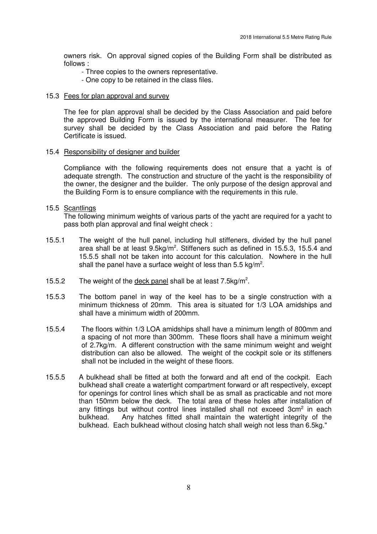owners risk. On approval signed copies of the Building Form shall be distributed as follows :

- Three copies to the owners representative.
- One copy to be retained in the class files.

#### 15.3 Fees for plan approval and survey

 The fee for plan approval shall be decided by the Class Association and paid before the approved Building Form is issued by the international measurer. The fee for survey shall be decided by the Class Association and paid before the Rating Certificate is issued.

#### 15.4 Responsibility of designer and builder

 Compliance with the following requirements does not ensure that a yacht is of adequate strength. The construction and structure of the yacht is the responsibility of the owner, the designer and the builder. The only purpose of the design approval and the Building Form is to ensure compliance with the requirements in this rule.

#### 15.5 Scantlings

The following minimum weights of various parts of the yacht are required for a yacht to pass both plan approval and final weight check :

- 15.5.1 The weight of the hull panel, including hull stiffeners, divided by the hull panel area shall be at least 9.5kg/m<sup>2</sup>. Stiffeners such as defined in 15.5.3, 15.5.4 and 15.5.5 shall not be taken into account for this calculation. Nowhere in the hull shall the panel have a surface weight of less than 5.5 kg/m<sup>2</sup>.
- 15.5.2 The weight of the deck panel shall be at least  $7.5 \text{kg/m}^2$ .
- 15.5.3 The bottom panel in way of the keel has to be a single construction with a minimum thickness of 20mm. This area is situated for 1/3 LOA amidships and shall have a minimum width of 200mm.
- 15.5.4 The floors within 1/3 LOA amidships shall have a minimum length of 800mm and a spacing of not more than 300mm. These floors shall have a minimum weight of 2.7kg/m. A different construction with the same minimum weight and weight distribution can also be allowed. The weight of the cockpit sole or its stiffeners shall not be included in the weight of these floors.
- 15.5.5 A bulkhead shall be fitted at both the forward and aft end of the cockpit. Each bulkhead shall create a watertight compartment forward or aft respectively, except for openings for control lines which shall be as small as practicable and not more than 150mm below the deck. The total area of these holes after installation of any fittings but without control lines installed shall not exceed 3cm<sup>2</sup> in each bulkhead. Any hatches fitted shall maintain the watertight integrity of the bulkhead. Each bulkhead without closing hatch shall weigh not less than 6.5kg."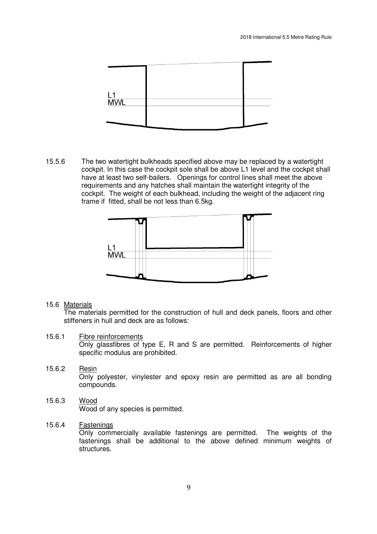

15.5.6 The two watertight bulkheads specified above may be replaced by a watertight cockpit. In this case the cockpit sole shall be above L1 level and the cockpit shall have at least two self-bailers. Openings for control lines shall meet the above requirements and any hatches shall maintain the watertight integrity of the cockpit. The weight of each bulkhead, including the weight of the adjacent ring frame if fitted, shall be not less than 6.5kg.



#### 15.6 Materials

 The materials permitted for the construction of hull and deck panels, floors and other stiffeners in hull and deck are as follows:

#### 15.6.1 Fibre reinforcements

 Only glassfibres of type E, R and S are permitted. Reinforcements of higher specific modulus are prohibited.

#### 15.6.2 Resin Only polyester, vinylester and epoxy resin are permitted as are all bonding compounds.

15.6.3 Wood Wood of any species is permitted.

#### 15.6.4 Fastenings

 Only commercially available fastenings are permitted. The weights of the fastenings shall be additional to the above defined minimum weights of structures.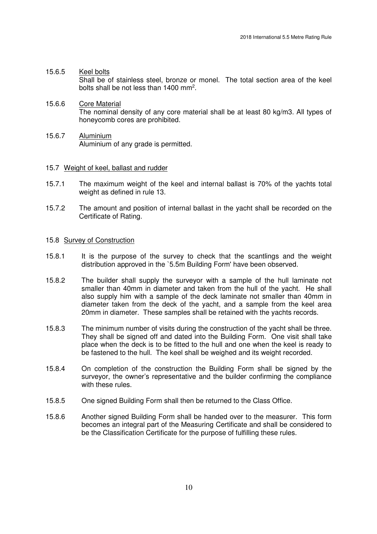- 15.6.5 Keel bolts Shall be of stainless steel, bronze or monel. The total section area of the keel bolts shall be not less than  $1400$  mm<sup>2</sup>.
- 15.6.6 Core Material The nominal density of any core material shall be at least 80 kg/m3. All types of honeycomb cores are prohibited.
- 15.6.7 Aluminium Aluminium of any grade is permitted.

#### 15.7 Weight of keel, ballast and rudder

- 15.7.1 The maximum weight of the keel and internal ballast is 70% of the yachts total weight as defined in rule 13.
- 15.7.2 The amount and position of internal ballast in the yacht shall be recorded on the Certificate of Rating.

#### 15.8 Survey of Construction

- 15.8.1 It is the purpose of the survey to check that the scantlings and the weight distribution approved in the `5.5m Building Form' have been observed.
- 15.8.2 The builder shall supply the surveyor with a sample of the hull laminate not smaller than 40mm in diameter and taken from the hull of the yacht. He shall also supply him with a sample of the deck laminate not smaller than 40mm in diameter taken from the deck of the yacht, and a sample from the keel area 20mm in diameter. These samples shall be retained with the yachts records.
- 15.8.3 The minimum number of visits during the construction of the yacht shall be three. They shall be signed off and dated into the Building Form. One visit shall take place when the deck is to be fitted to the hull and one when the keel is ready to be fastened to the hull. The keel shall be weighed and its weight recorded.
- 15.8.4 On completion of the construction the Building Form shall be signed by the surveyor, the owner's representative and the builder confirming the compliance with these rules.
- 15.8.5 One signed Building Form shall then be returned to the Class Office.
- 15.8.6 Another signed Building Form shall be handed over to the measurer. This form becomes an integral part of the Measuring Certificate and shall be considered to be the Classification Certificate for the purpose of fulfilling these rules.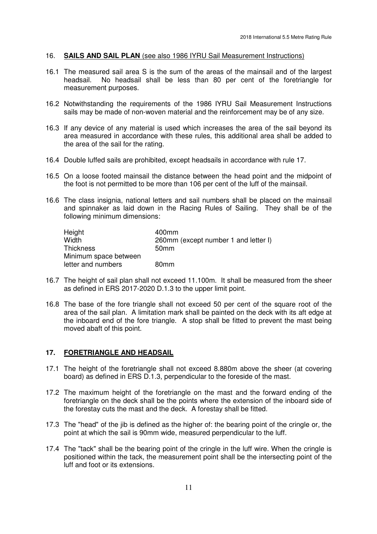#### 16. **SAILS AND SAIL PLAN** (see also 1986 IYRU Sail Measurement Instructions)

- 16.1 The measured sail area S is the sum of the areas of the mainsail and of the largest headsail. No headsail shall be less than 80 per cent of the foretriangle for measurement purposes.
- 16.2 Notwithstanding the requirements of the 1986 IYRU Sail Measurement Instructions sails may be made of non-woven material and the reinforcement may be of any size.
- 16.3 If any device of any material is used which increases the area of the sail beyond its area measured in accordance with these rules, this additional area shall be added to the area of the sail for the rating.
- 16.4 Double luffed sails are prohibited, except headsails in accordance with rule 17.
- 16.5 On a loose footed mainsail the distance between the head point and the midpoint of the foot is not permitted to be more than 106 per cent of the luff of the mainsail.
- 16.6 The class insignia, national letters and sail numbers shall be placed on the mainsail and spinnaker as laid down in the Racing Rules of Sailing. They shall be of the following minimum dimensions:

| Height                | 400mm                                |
|-----------------------|--------------------------------------|
| Width                 | 260mm (except number 1 and letter I) |
| <b>Thickness</b>      | 50 <sub>mm</sub>                     |
| Minimum space between |                                      |
| letter and numbers    | 80 <sub>mm</sub>                     |

- 16.7 The height of sail plan shall not exceed 11.100m. It shall be measured from the sheer as defined in ERS 2017-2020 D.1.3 to the upper limit point.
- 16.8 The base of the fore triangle shall not exceed 50 per cent of the square root of the area of the sail plan. A limitation mark shall be painted on the deck with its aft edge at the inboard end of the fore triangle. A stop shall be fitted to prevent the mast being moved abaft of this point.

#### **17. FORETRIANGLE AND HEADSAIL**

- 17.1 The height of the foretriangle shall not exceed 8.880m above the sheer (at covering board) as defined in ERS D.1.3, perpendicular to the foreside of the mast.
- 17.2 The maximum height of the foretriangle on the mast and the forward ending of the foretriangle on the deck shall be the points where the extension of the inboard side of the forestay cuts the mast and the deck. A forestay shall be fitted.
- 17.3 The "head" of the jib is defined as the higher of: the bearing point of the cringle or, the point at which the sail is 90mm wide, measured perpendicular to the luff.
- 17.4 The "tack" shall be the bearing point of the cringle in the luff wire. When the cringle is positioned within the tack, the measurement point shall be the intersecting point of the luff and foot or its extensions.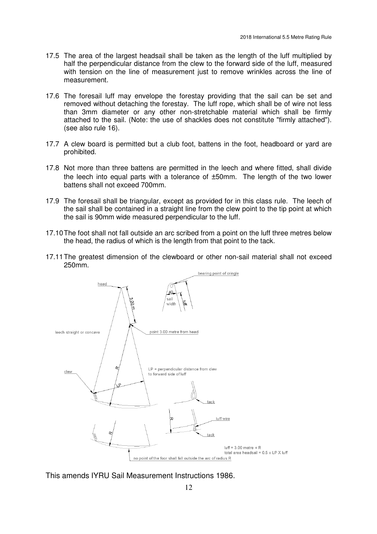- 17.5 The area of the largest headsail shall be taken as the length of the luff multiplied by half the perpendicular distance from the clew to the forward side of the luff, measured with tension on the line of measurement just to remove wrinkles across the line of measurement.
- 17.6 The foresail luff may envelope the forestay providing that the sail can be set and removed without detaching the forestay. The luff rope, which shall be of wire not less than 3mm diameter or any other non-stretchable material which shall be firmly attached to the sail. (Note: the use of shackles does not constitute "firmly attached"). (see also rule 16).
- 17.7 A clew board is permitted but a club foot, battens in the foot, headboard or yard are prohibited.
- 17.8 Not more than three battens are permitted in the leech and where fitted, shall divide the leech into equal parts with a tolerance of ±50mm. The length of the two lower battens shall not exceed 700mm.
- 17.9 The foresail shall be triangular, except as provided for in this class rule. The leech of the sail shall be contained in a straight line from the clew point to the tip point at which the sail is 90mm wide measured perpendicular to the luff.
- 17.10 The foot shall not fall outside an arc scribed from a point on the luff three metres below the head, the radius of which is the length from that point to the tack.
- 17.11 The greatest dimension of the clewboard or other non-sail material shall not exceed 250mm.



This amends IYRU Sail Measurement Instructions 1986.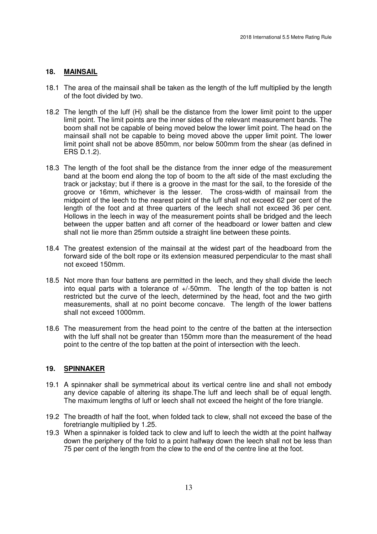#### **18. MAINSAIL**

- 18.1 The area of the mainsail shall be taken as the length of the luff multiplied by the length of the foot divided by two.
- 18.2 The length of the luff (H) shall be the distance from the lower limit point to the upper limit point. The limit points are the inner sides of the relevant measurement bands. The boom shall not be capable of being moved below the lower limit point. The head on the mainsail shall not be capable to being moved above the upper limit point. The lower limit point shall not be above 850mm, nor below 500mm from the shear (as defined in ERS D.1.2).
- 18.3 The length of the foot shall be the distance from the inner edge of the measurement band at the boom end along the top of boom to the aft side of the mast excluding the track or jackstay; but if there is a groove in the mast for the sail, to the foreside of the groove or 16mm, whichever is the lesser. The cross-width of mainsail from the midpoint of the leech to the nearest point of the luff shall not exceed 62 per cent of the length of the foot and at three quarters of the leech shall not exceed 36 per cent. Hollows in the leech in way of the measurement points shall be bridged and the leech between the upper batten and aft corner of the headboard or lower batten and clew shall not lie more than 25mm outside a straight line between these points.
- 18.4 The greatest extension of the mainsail at the widest part of the headboard from the forward side of the bolt rope or its extension measured perpendicular to the mast shall not exceed 150mm.
- 18.5 Not more than four battens are permitted in the leech, and they shall divide the leech into equal parts with a tolerance of +/-50mm. The length of the top batten is not restricted but the curve of the leech, determined by the head, foot and the two girth measurements, shall at no point become concave. The length of the lower battens shall not exceed 1000mm.
- 18.6 The measurement from the head point to the centre of the batten at the intersection with the luff shall not be greater than 150mm more than the measurement of the head point to the centre of the top batten at the point of intersection with the leech.

#### **19. SPINNAKER**

- 19.1 A spinnaker shall be symmetrical about its vertical centre line and shall not embody any device capable of altering its shape.The luff and leech shall be of equal length. The maximum lengths of luff or leech shall not exceed the height of the fore triangle.
- 19.2 The breadth of half the foot, when folded tack to clew, shall not exceed the base of the foretriangle multiplied by 1.25.
- 19.3 When a spinnaker is folded tack to clew and luff to leech the width at the point halfway down the periphery of the fold to a point halfway down the leech shall not be less than 75 per cent of the length from the clew to the end of the centre line at the foot.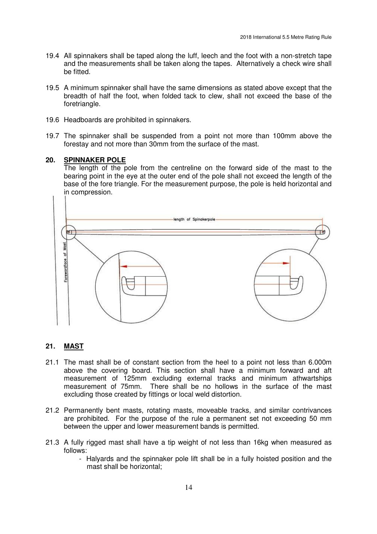- 19.4 All spinnakers shall be taped along the luff, leech and the foot with a non-stretch tape and the measurements shall be taken along the tapes. Alternatively a check wire shall be fitted.
- 19.5 A minimum spinnaker shall have the same dimensions as stated above except that the breadth of half the foot, when folded tack to clew, shall not exceed the base of the foretriangle.
- 19.6 Headboards are prohibited in spinnakers.
- 19.7 The spinnaker shall be suspended from a point not more than 100mm above the forestay and not more than 30mm from the surface of the mast.

#### **20. SPINNAKER POLE**

 The length of the pole from the centreline on the forward side of the mast to the bearing point in the eye at the outer end of the pole shall not exceed the length of the base of the fore triangle. For the measurement purpose, the pole is held horizontal and in compression.



#### **21. MAST**

- 21.1 The mast shall be of constant section from the heel to a point not less than 6.000m above the covering board. This section shall have a minimum forward and aft measurement of 125mm excluding external tracks and minimum athwartships measurement of 75mm. There shall be no hollows in the surface of the mast excluding those created by fittings or local weld distortion.
- 21.2 Permanently bent masts, rotating masts, moveable tracks, and similar contrivances are prohibited. For the purpose of the rule a permanent set not exceeding 50 mm between the upper and lower measurement bands is permitted.
- 21.3 A fully rigged mast shall have a tip weight of not less than 16kg when measured as follows:
	- Halyards and the spinnaker pole lift shall be in a fully hoisted position and the mast shall be horizontal;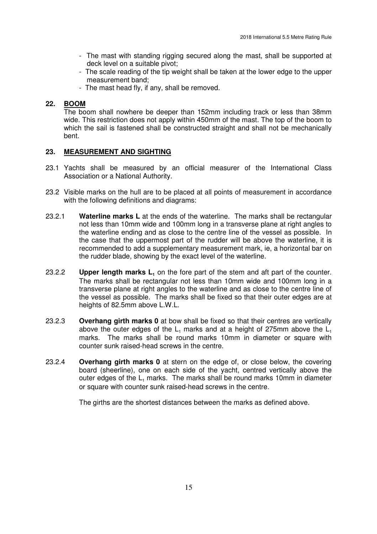- The mast with standing rigging secured along the mast, shall be supported at deck level on a suitable pivot;
- The scale reading of the tip weight shall be taken at the lower edge to the upper measurement band;
- The mast head fly, if any, shall be removed.

# **22. BOOM**

 The boom shall nowhere be deeper than 152mm including track or less than 38mm wide. This restriction does not apply within 450mm of the mast. The top of the boom to which the sail is fastened shall be constructed straight and shall not be mechanically bent.

# **23. MEASUREMENT AND SIGHTING**

- 23.1 Yachts shall be measured by an official measurer of the International Class Association or a National Authority.
- 23.2 Visible marks on the hull are to be placed at all points of measurement in accordance with the following definitions and diagrams:
- 23.2.1 **Waterline marks L** at the ends of the waterline. The marks shall be rectangular not less than 10mm wide and 100mm long in a transverse plane at right angles to the waterline ending and as close to the centre line of the vessel as possible. In the case that the uppermost part of the rudder will be above the waterline, it is recommended to add a supplementary measurement mark, ie, a horizontal bar on the rudder blade, showing by the exact level of the waterline.
- 23.2.2 **Upper length marks L**<sub>1</sub> on the fore part of the stem and aft part of the counter. The marks shall be rectangular not less than 10mm wide and 100mm long in a transverse plane at right angles to the waterline and as close to the centre line of the vessel as possible. The marks shall be fixed so that their outer edges are at heights of 82.5mm above L.W.L.
- 23.2.3 **Overhang girth marks 0** at bow shall be fixed so that their centres are vertically above the outer edges of the  $L_1$  marks and at a height of 275mm above the  $L_1$ marks. The marks shall be round marks 10mm in diameter or square with counter sunk raised-head screws in the centre.
- 23.2.4 **Overhang girth marks 0** at stern on the edge of, or close below, the covering board (sheerline), one on each side of the yacht, centred vertically above the outer edges of the  $L_1$  marks. The marks shall be round marks 10mm in diameter or square with counter sunk raised-head screws in the centre.

The girths are the shortest distances between the marks as defined above.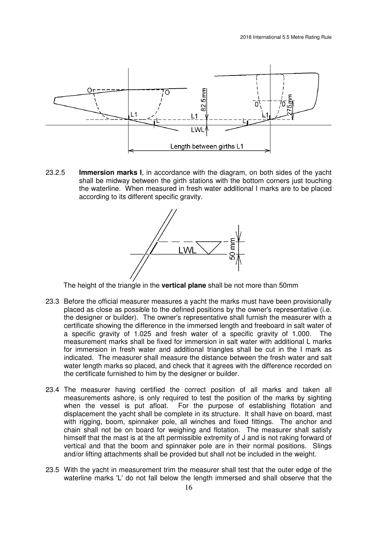

23.2.5 **Immersion marks I**, in accordance with the diagram, on both sides of the yacht shall be midway between the girth stations with the bottom corners just touching the waterline. When measured in fresh water additional I marks are to be placed according to its different specific gravity.



The height of the triangle in the **vertical plane** shall be not more than 50mm

- 23.3 Before the official measurer measures a yacht the marks must have been provisionally placed as close as possible to the defined positions by the owner's representative (i.e. the designer or builder). The owner's representative shall furnish the measurer with a certificate showing the difference in the immersed length and freeboard in salt water of a specific gravity of 1.025 and fresh water of a specific gravity of 1.000. The measurement marks shall be fixed for immersion in salt water with additional L marks for immersion in fresh water and additional triangles shall be cut in the I mark as indicated. The measurer shall measure the distance between the fresh water and salt water length marks so placed, and check that it agrees with the difference recorded on the certificate furnished to him by the designer or builder.
- 23.4 The measurer having certified the correct position of all marks and taken all measurements ashore, is only required to test the position of the marks by sighting when the vessel is put afloat. For the purpose of establishing flotation and displacement the yacht shall be complete in its structure. It shall have on board, mast with rigging, boom, spinnaker pole, all winches and fixed fittings. The anchor and chain shall not be on board for weighing and flotation. The measurer shall satisfy himself that the mast is at the aft permissible extremity of J and is not raking forward of vertical and that the boom and spinnaker pole are in their normal positions. Slings and/or lifting attachments shall be provided but shall not be included in the weight.
- 23.5 With the yacht in measurement trim the measurer shall test that the outer edge of the waterline marks 'L' do not fall below the length immersed and shall observe that the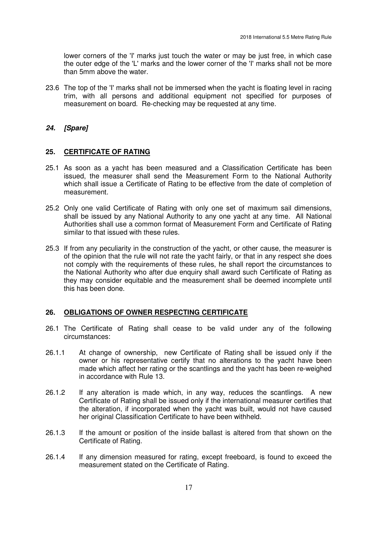lower corners of the 'I' marks just touch the water or may be just free, in which case the outer edge of the 'L' marks and the lower corner of the 'I' marks shall not be more than 5mm above the water.

23.6 The top of the 'I' marks shall not be immersed when the yacht is floating level in racing trim, with all persons and additional equipment not specified for purposes of measurement on board. Re-checking may be requested at any time.

# **24. [Spare]**

# **25. CERTIFICATE OF RATING**

- 25.1 As soon as a yacht has been measured and a Classification Certificate has been issued, the measurer shall send the Measurement Form to the National Authority which shall issue a Certificate of Rating to be effective from the date of completion of measurement.
- 25.2 Only one valid Certificate of Rating with only one set of maximum sail dimensions, shall be issued by any National Authority to any one yacht at any time. All National Authorities shall use a common format of Measurement Form and Certificate of Rating similar to that issued with these rules.
- 25.3 If from any peculiarity in the construction of the yacht, or other cause, the measurer is of the opinion that the rule will not rate the yacht fairly, or that in any respect she does not comply with the requirements of these rules, he shall report the circumstances to the National Authority who after due enquiry shall award such Certificate of Rating as they may consider equitable and the measurement shall be deemed incomplete until this has been done.

# **26. OBLIGATIONS OF OWNER RESPECTING CERTIFICATE**

- 26.1 The Certificate of Rating shall cease to be valid under any of the following circumstances:
- 26.1.1 At change of ownership, new Certificate of Rating shall be issued only if the owner or his representative certify that no alterations to the yacht have been made which affect her rating or the scantlings and the yacht has been re-weighed in accordance with Rule 13.
- 26.1.2 If any alteration is made which, in any way, reduces the scantlings. A new Certificate of Rating shall be issued only if the international measurer certifies that the alteration, if incorporated when the yacht was built, would not have caused her original Classification Certificate to have been withheld.
- 26.1.3 If the amount or position of the inside ballast is altered from that shown on the Certificate of Rating.
- 26.1.4 If any dimension measured for rating, except freeboard, is found to exceed the measurement stated on the Certificate of Rating.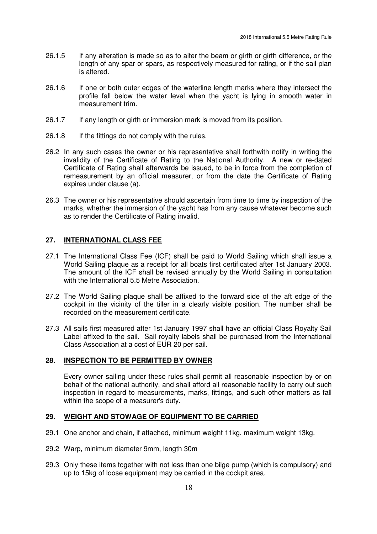- 26.1.5 If any alteration is made so as to alter the beam or girth or girth difference, or the length of any spar or spars, as respectively measured for rating, or if the sail plan is altered.
- 26.1.6 If one or both outer edges of the waterline length marks where they intersect the profile fall below the water level when the yacht is lying in smooth water in measurement trim.
- 26.1.7 If any length or girth or immersion mark is moved from its position.
- 26.1.8 If the fittings do not comply with the rules.
- 26.2 In any such cases the owner or his representative shall forthwith notify in writing the invalidity of the Certificate of Rating to the National Authority. A new or re-dated Certificate of Rating shall afterwards be issued, to be in force from the completion of remeasurement by an official measurer, or from the date the Certificate of Rating expires under clause (a).
- 26.3 The owner or his representative should ascertain from time to time by inspection of the marks, whether the immersion of the yacht has from any cause whatever become such as to render the Certificate of Rating invalid.

# **27. INTERNATIONAL CLASS FEE**

- 27.1 The International Class Fee (ICF) shall be paid to World Sailing which shall issue a World Sailing plaque as a receipt for all boats first certificated after 1st January 2003. The amount of the ICF shall be revised annually by the World Sailing in consultation with the International 5.5 Metre Association.
- 27.2 The World Sailing plaque shall be affixed to the forward side of the aft edge of the cockpit in the vicinity of the tiller in a clearly visible position. The number shall be recorded on the measurement certificate.
- 27.3 All sails first measured after 1st January 1997 shall have an official Class Royalty Sail Label affixed to the sail. Sail royalty labels shall be purchased from the International Class Association at a cost of EUR 20 per sail.

#### **28. INSPECTION TO BE PERMITTED BY OWNER**

 Every owner sailing under these rules shall permit all reasonable inspection by or on behalf of the national authority, and shall afford all reasonable facility to carry out such inspection in regard to measurements, marks, fittings, and such other matters as fall within the scope of a measurer's duty.

#### **29. WEIGHT AND STOWAGE OF EQUIPMENT TO BE CARRIED**

- 29.1 One anchor and chain, if attached, minimum weight 11kg, maximum weight 13kg.
- 29.2 Warp, minimum diameter 9mm, length 30m
- 29.3 Only these items together with not less than one bilge pump (which is compulsory) and up to 15kg of loose equipment may be carried in the cockpit area.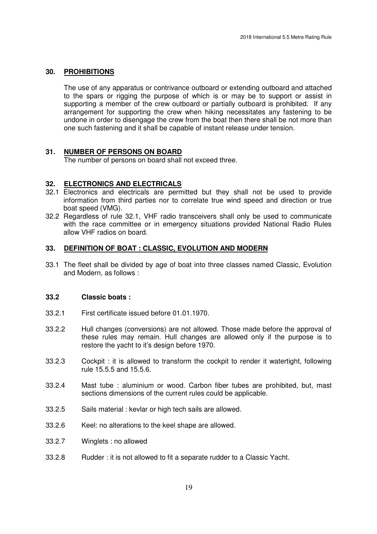#### **30. PROHIBITIONS**

 The use of any apparatus or contrivance outboard or extending outboard and attached to the spars or rigging the purpose of which is or may be to support or assist in supporting a member of the crew outboard or partially outboard is prohibited. If any arrangement for supporting the crew when hiking necessitates any fastening to be undone in order to disengage the crew from the boat then there shall be not more than one such fastening and it shall be capable of instant release under tension.

#### **31. NUMBER OF PERSONS ON BOARD**

The number of persons on board shall not exceed three.

#### **32. ELECTRONICS AND ELECTRICALS**

- 32.1 Electronics and electricals are permitted but they shall not be used to provide information from third parties nor to correlate true wind speed and direction or true boat speed (VMG).
- 32.2 Regardless of rule 32.1, VHF radio transceivers shall only be used to communicate with the race committee or in emergency situations provided National Radio Rules allow VHF radios on board.

#### **33. DEFINITION OF BOAT : CLASSIC, EVOLUTION AND MODERN**

33.1 The fleet shall be divided by age of boat into three classes named Classic, Evolution and Modern, as follows :

# **33.2 Classic boats :**

- 33.2.1 First certificate issued before 01.01.1970.
- 33.2.2 Hull changes (conversions) are not allowed. Those made before the approval of these rules may remain. Hull changes are allowed only if the purpose is to restore the yacht to it's design before 1970.
- 33.2.3 Cockpit : it is allowed to transform the cockpit to render it watertight, following rule 15.5.5 and 15.5.6.
- 33.2.4 Mast tube : aluminium or wood. Carbon fiber tubes are prohibited, but, mast sections dimensions of the current rules could be applicable.
- 33.2.5 Sails material : kevlar or high tech sails are allowed.
- 33.2.6 Keel: no alterations to the keel shape are allowed.
- 33.2.7 Winglets : no allowed
- 33.2.8 Rudder : it is not allowed to fit a separate rudder to a Classic Yacht.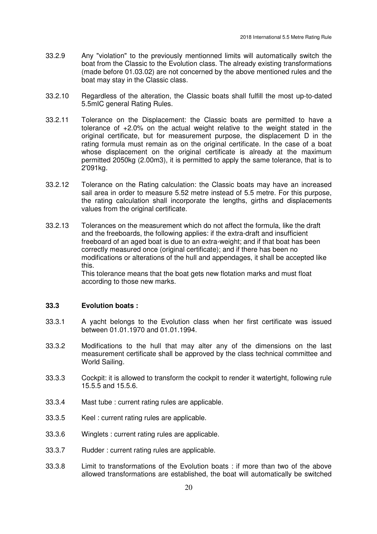- 33.2.9 Any "violation" to the previously mentionned limits will automatically switch the boat from the Classic to the Evolution class. The already existing transformations (made before 01.03.02) are not concerned by the above mentioned rules and the boat may stay in the Classic class.
- 33.2.10 Regardless of the alteration, the Classic boats shall fulfill the most up-to-dated 5.5mIC general Rating Rules.
- 33.2.11 Tolerance on the Displacement: the Classic boats are permitted to have a tolerance of +2.0% on the actual weight relative to the weight stated in the original certificate, but for measurement purpose, the displacement D in the rating formula must remain as on the original certificate. In the case of a boat whose displacement on the original certificate is already at the maximum permitted 2050kg (2.00m3), it is permitted to apply the same tolerance, that is to 2'091kg.
- 33.2.12 Tolerance on the Rating calculation: the Classic boats may have an increased sail area in order to measure 5.52 metre instead of 5.5 metre. For this purpose, the rating calculation shall incorporate the lengths, girths and displacements values from the original certificate.
- 33.2.13 Tolerances on the measurement which do not affect the formula, like the draft and the freeboards, the following applies: if the extra-draft and insufficient freeboard of an aged boat is due to an extra-weight; and if that boat has been correctly measured once (original certificate); and if there has been no modifications or alterations of the hull and appendages, it shall be accepted like this.

 This tolerance means that the boat gets new flotation marks and must float according to those new marks.

# **33.3 Evolution boats :**

- 33.3.1 A yacht belongs to the Evolution class when her first certificate was issued between 01.01.1970 and 01.01.1994.
- 33.3.2 Modifications to the hull that may alter any of the dimensions on the last measurement certificate shall be approved by the class technical committee and World Sailing.
- 33.3.3 Cockpit: it is allowed to transform the cockpit to render it watertight, following rule 15.5.5 and 15.5.6.
- 33.3.4 Mast tube : current rating rules are applicable.
- 33.3.5 Keel : current rating rules are applicable.
- 33.3.6 Winglets : current rating rules are applicable.
- 33.3.7 Rudder : current rating rules are applicable.
- 33.3.8 Limit to transformations of the Evolution boats : if more than two of the above allowed transformations are established, the boat will automatically be switched